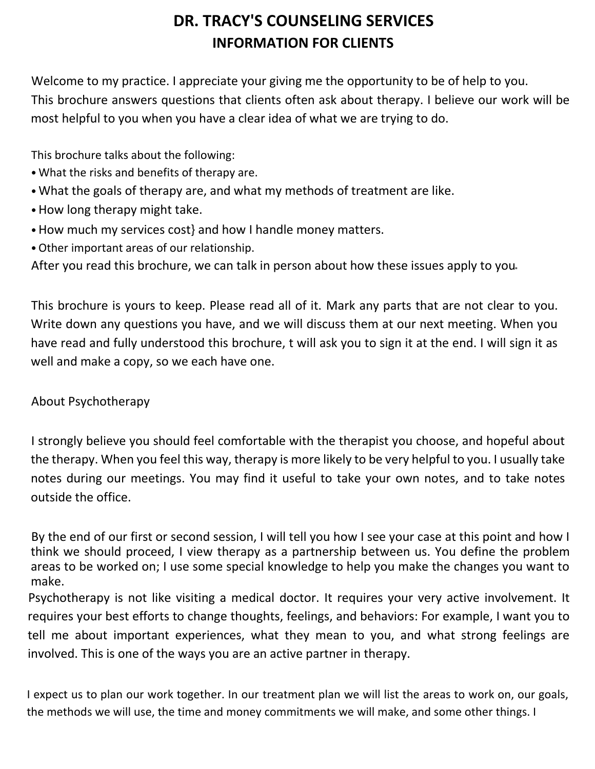# **DR. TRACY'S COUNSELING SERVICES INFORMATION FOR CLIENTS**

Welcome to my practice. I appreciate your giving me the opportunity to be of help to you. This brochure answers questions that clients often ask about therapy. I believe our work will be most helpful to you when you have a clear idea of what we are trying to do.

This brochure talks about the following:

- What the risks and benefits of therapy are.
- •What the goals of therapy are, and what my methods of treatment are like.
- How long therapy might take.
- •How much my services cost} and how I handle money matters.
- •Other important areas of our relationship.

After you read this brochure, we can talk in person about how these issues apply to you.

This brochure is yours to keep. Please read all of it. Mark any parts that are not clear to you. Write down any questions you have, and we will discuss them at our next meeting. When you have read and fully understood this brochure, t will ask you to sign it at the end. I will sign it as well and make a copy, so we each have one.

# About Psychotherapy

I strongly believe you should feel comfortable with the therapist you choose, and hopeful about the therapy. When you feel this way, therapy is more likely to be very helpful to you. I usually take notes during our meetings. You may find it useful to take your own notes, and to take notes outside the office.

By the end of our first or second session, I will tell you how I see your case at this point and how I think we should proceed, I view therapy as a partnership between us. You define the problem areas to be worked on; I use some special knowledge to help you make the changes you want to make.

Psychotherapy is not like visiting a medical doctor. It requires your very active involvement. It requires your best efforts to change thoughts, feelings, and behaviors: For example, I want you to tell me about important experiences, what they mean to you, and what strong feelings are involved. This is one of the ways you are an active partner in therapy.

I expect us to plan our work together. In our treatment plan we will list the areas to work on, our goals, the methods we will use, the time and money commitments we will make, and some other things. I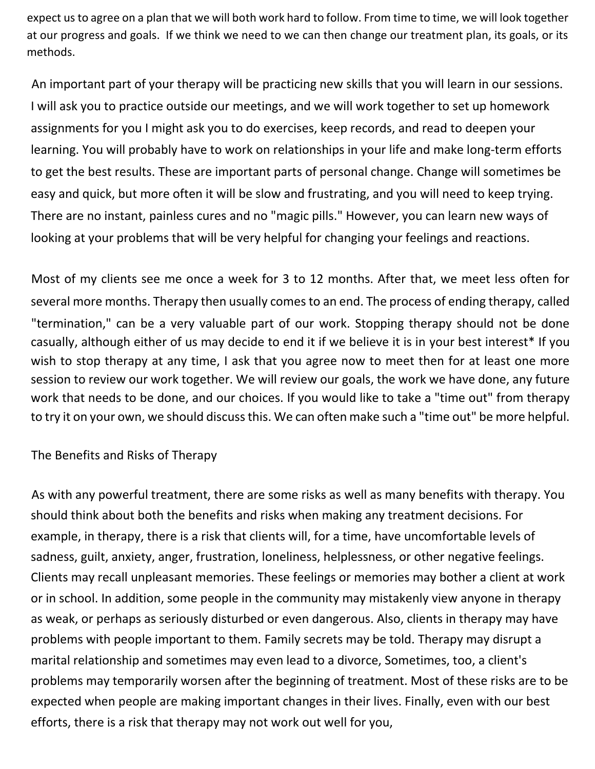expect us to agree on a plan that we will both work hard to follow. From time to time, we will look together at our progress and goals. If we think we need to we can then change our treatment plan, its goals, or its methods.

An important part of your therapy will be practicing new skills that you will learn in our sessions. I will ask you to practice outside our meetings, and we will work together to set up homework assignments for you I might ask you to do exercises, keep records, and read to deepen your learning. You will probably have to work on relationships in your life and make long-term efforts to get the best results. These are important parts of personal change. Change will sometimes be easy and quick, but more often it will be slow and frustrating, and you will need to keep trying. There are no instant, painless cures and no "magic pills." However, you can learn new ways of looking at your problems that will be very helpful for changing your feelings and reactions.

Most of my clients see me once a week for 3 to 12 months. After that, we meet less often for several more months. Therapy then usually comes to an end. The process of ending therapy, called "termination," can be a very valuable part of our work. Stopping therapy should not be done casually, although either of us may decide to end it if we believe it is in your best interest\* If you wish to stop therapy at any time, I ask that you agree now to meet then for at least one more session to review our work together. We will review our goals, the work we have done, any future work that needs to be done, and our choices. If you would like to take a "time out" from therapy to try it on your own, we should discuss this. We can often make such a "time out" be more helpful.

## The Benefits and Risks of Therapy

As with any powerful treatment, there are some risks as well as many benefits with therapy. You should think about both the benefits and risks when making any treatment decisions. For example, in therapy, there is a risk that clients will, for a time, have uncomfortable levels of sadness, guilt, anxiety, anger, frustration, loneliness, helplessness, or other negative feelings. Clients may recall unpleasant memories. These feelings or memories may bother a client at work or in school. In addition, some people in the community may mistakenly view anyone in therapy as weak, or perhaps as seriously disturbed or even dangerous. Also, clients in therapy may have problems with people important to them. Family secrets may be told. Therapy may disrupt a marital relationship and sometimes may even lead to a divorce, Sometimes, too, a client's problems may temporarily worsen after the beginning of treatment. Most of these risks are to be expected when people are making important changes in their lives. Finally, even with our best efforts, there is a risk that therapy may not work out well for you,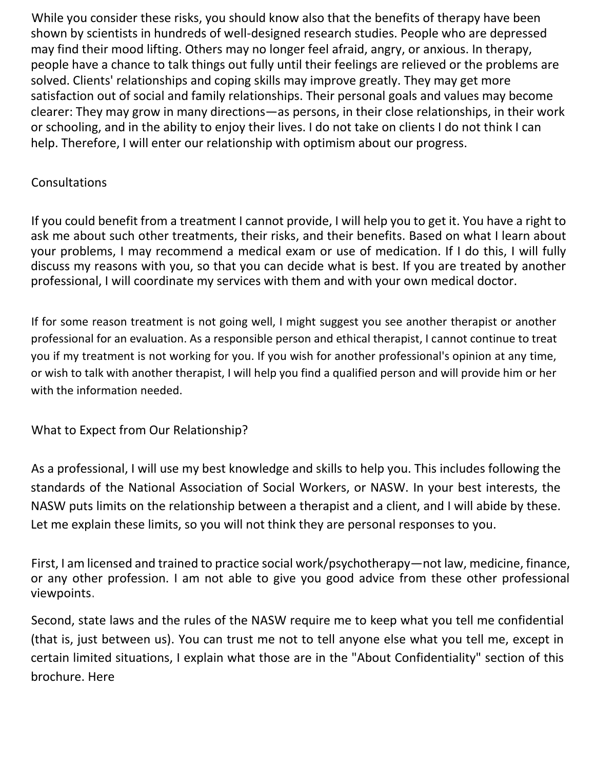While you consider these risks, you should know also that the benefits of therapy have been shown by scientists in hundreds of well-designed research studies. People who are depressed may find their mood lifting. Others may no longer feel afraid, angry, or anxious. In therapy, people have a chance to talk things out fully until their feelings are relieved or the problems are solved. Clients' relationships and coping skills may improve greatly. They may get more satisfaction out of social and family relationships. Their personal goals and values may become clearer: They may grow in many directions—as persons, in their close relationships, in their work or schooling, and in the ability to enjoy their lives. I do not take on clients I do not think I can help. Therefore, I will enter our relationship with optimism about our progress.

# Consultations

If you could benefit from a treatment I cannot provide, I will help you to get it. You have a right to ask me about such other treatments, their risks, and their benefits. Based on what I learn about your problems, I may recommend a medical exam or use of medication. If I do this, I will fully discuss my reasons with you, so that you can decide what is best. If you are treated by another professional, I will coordinate my services with them and with your own medical doctor.

If for some reason treatment is not going well, I might suggest you see another therapist or another professional for an evaluation. As a responsible person and ethical therapist, I cannot continue to treat you if my treatment is not working for you. If you wish for another professional's opinion at any time, or wish to talk with another therapist, I will help you find a qualified person and will provide him or her with the information needed.

What to Expect from Our Relationship?

As a professional, I will use my best knowledge and skills to help you. This includes following the standards of the National Association of Social Workers, or NASW. In your best interests, the NASW puts limits on the relationship between a therapist and a client, and I will abide by these. Let me explain these limits, so you will not think they are personal responses to you.

First, I am licensed and trained to practice social work/psychotherapy—not law, medicine, finance, or any other profession. I am not able to give you good advice from these other professional viewpoints

Second, state laws and the rules of the NASW require me to keep what you tell me confidential (that is, just between us). You can trust me not to tell anyone else what you tell me, except in certain limited situations, I explain what those are in the "About Confidentiality" section of this brochure. Here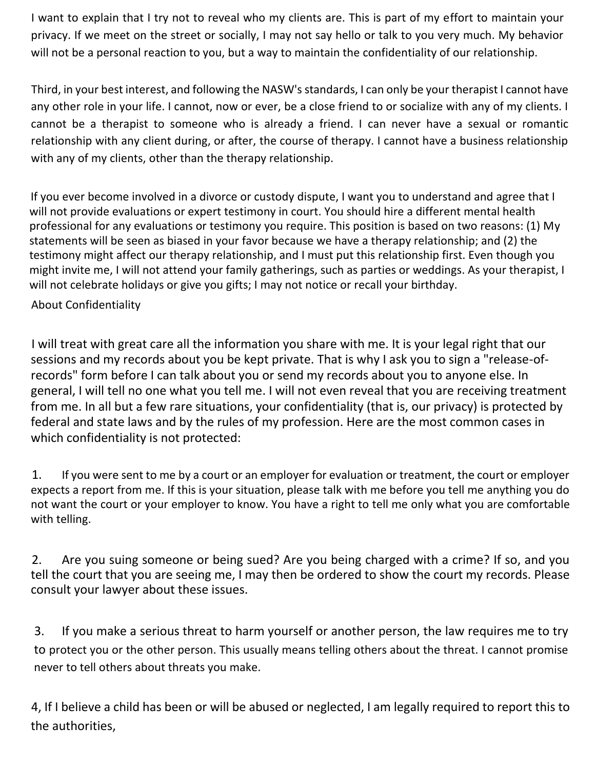I want to explain that I try not to reveal who my clients are. This is part of my effort to maintain your privacy. If we meet on the street or socially, I may not say hello or talk to you very much. My behavior will not be a personal reaction to you, but a way to maintain the confidentiality of our relationship.

Third, in your best interest, and following the NASW's standards, I can only be your therapist I cannot have any other role in your life. I cannot, now or ever, be a close friend to or socialize with any of my clients. I cannot be a therapist to someone who is already a friend. I can never have a sexual or romantic relationship with any client during, or after, the course of therapy. I cannot have a business relationship with any of my clients, other than the therapy relationship.

If you ever become involved in a divorce or custody dispute, I want you to understand and agree that I will not provide evaluations or expert testimony in court. You should hire a different mental health professional for any evaluations or testimony you require. This position is based on two reasons: (1) My statements will be seen as biased in your favor because we have a therapy relationship; and (2) the testimony might affect our therapy relationship, and I must put this relationship first. Even though you might invite me, I will not attend your family gatherings, such as parties or weddings. As your therapist, I will not celebrate holidays or give you gifts; I may not notice or recall your birthday.

#### About Confidentiality

I will treat with great care all the information you share with me. It is your legal right that our sessions and my records about you be kept private. That is why I ask you to sign a "release-ofrecords" form before I can talk about you or send my records about you to anyone else. In general, I will tell no one what you tell me. I will not even reveal that you are receiving treatment from me. In all but a few rare situations, your confidentiality (that is, our privacy) is protected by federal and state laws and by the rules of my profession. Here are the most common cases in which confidentiality is not protected:

1. If you were sent to me by a court or an employer for evaluation or treatment, the court or employer expects a report from me. If this is your situation, please talk with me before you tell me anything you do not want the court or your employer to know. You have a right to tell me only what you are comfortable with telling.

2. Are you suing someone or being sued? Are you being charged with a crime? If so, and you tell the court that you are seeing me, I may then be ordered to show the court my records. Please consult your lawyer about these issues.

3. If you make a serious threat to harm yourself or another person, the law requires me to try to protect you or the other person. This usually means telling others about the threat. I cannot promise never to tell others about threats you make.

4, If I believe a child has been or will be abused or neglected, I am legally required to report this to the authorities,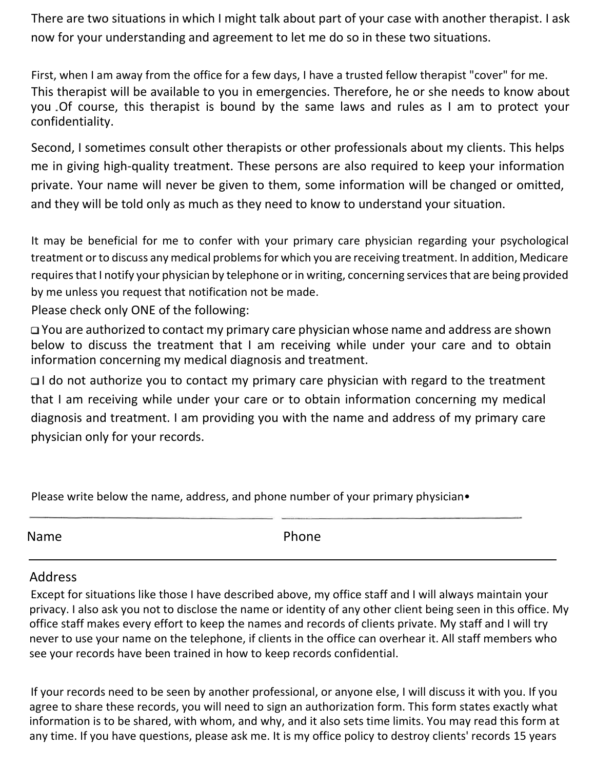There are two situations in which I might talk about part of your case with another therapist. I ask now for your understanding and agreement to let me do so in these two situations.

First, when I am away from the office for a few days, I have a trusted fellow therapist "cover" for me. This therapist will be available to you in emergencies. Therefore, he or she needs to know about you Of course, this therapist is bound by the same laws and rules as I am to protect your confidentiality.

Second, I sometimes consult other therapists or other professionals about my clients. This helps me in giving high-quality treatment. These persons are also required to keep your information private. Your name will never be given to them, some information will be changed or omitted, and they will be told only as much as they need to know to understand your situation.

It may be beneficial for me to confer with your primary care physician regarding your psychological treatment or to discuss any medical problems for which you are receiving treatment. In addition, Medicare requires that I notify your physician by telephone or in writing, concerning services that are being provided by me unless you request that notification not be made.

Please check only ONE of the following:

You are authorized to contact my primary care physician whose name and address are shown below to discuss the treatment that I am receiving while under your care and to obtain information concerning my medical diagnosis and treatment.

 $\Box$ I do not authorize you to contact my primary care physician with regard to the treatment that I am receiving while under your care or to obtain information concerning my medical diagnosis and treatment. I am providing you with the name and address of my primary care physician only for your records.

Name **Name** Phone

#### Address

Except for situations like those I have described above, my office staff and I will always maintain your privacy. I also ask you not to disclose the name or identity of any other client being seen in this office. My office staff makes every effort to keep the names and records of clients private. My staff and I will try never to use your name on the telephone, if clients in the office can overhear it. All staff members who see your records have been trained in how to keep records confidential.

If your records need to be seen by another professional, or anyone else, I will discuss it with you. If you agree to share these records, you will need to sign an authorization form. This form states exactly what information is to be shared, with whom, and why, and it also sets time limits. You may read this form at any time. If you have questions, please ask me. It is my office policy to destroy clients' records 15 years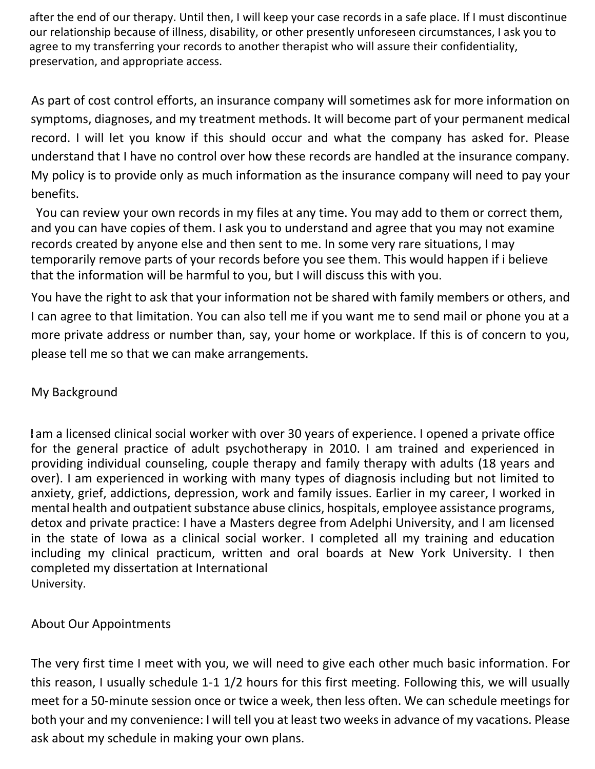after the end of our therapy. Until then, I will keep your case records in a safe place. If I must discontinue our relationship because of illness, disability, or other presently unforeseen circumstances, I ask you to agree to my transferring your records to another therapist who will assure their confidentiality, preservation, and appropriate access.

As part of cost control efforts, an insurance company will sometimes ask for more information on symptoms, diagnoses, and my treatment methods. It will become part of your permanent medical record. I will let you know if this should occur and what the company has asked for. Please understand that I have no control over how these records are handled at the insurance company. My policy is to provide only as much information as the insurance company will need to pay your benefits.

You can review your own records in my files at any time. You may add to them or correct them, and you can have copies of them. I ask you to understand and agree that you may not examine records created by anyone else and then sent to me. In some very rare situations, I may temporarily remove parts of your records before you see them. This would happen if i believe that the information will be harmful to you, but I will discuss this with you.

You have the right to ask that your information not be shared with family members or others, and I can agree to that limitation. You can also tell me if you want me to send mail or phone you at a more private address or number than, say, your home or workplace. If this is of concern to you, please tell me so that we can make arrangements.

# My Background

am a licensed clinical social worker with over 30 years of experience. I opened a private office for the general practice of adult psychotherapy in 2010. I am trained and experienced in providing individual counseling, couple therapy and family therapy with adults (18 years and over). I am experienced in working with many types of diagnosis including but not limited to anxiety, grief, addictions, depression, work and family issues. Earlier in my career, I worked in mental health and outpatient substance abuse clinics, hospitals, employee assistance programs, detox and private practice: I have a Masters degree from Adelphi University, and I am licensed in the state of Iowa as a clinical social worker. I completed all my training and education including my clinical practicum, written and oral boards at New York University. I then completed my dissertation at International University.

## About Our Appointments

The very first time I meet with you, we will need to give each other much basic information. For this reason, I usually schedule 1-1 1/2 hours for this first meeting. Following this, we will usually meet for a 50-minute session once or twice a week, then less often. We can schedule meetings for both your and my convenience: I will tell you at least two weeks in advance of my vacations. Please ask about my schedule in making your own plans.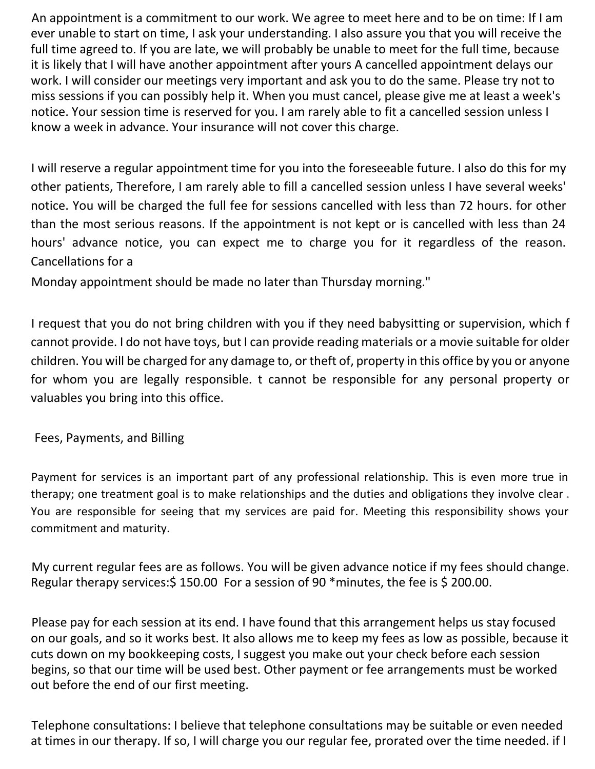An appointment is a commitment to our work. We agree to meet here and to be on time: If I am ever unable to start on time, I ask your understanding. I also assure you that you will receive the full time agreed to. If you are late, we will probably be unable to meet for the full time, because it is likely that I will have another appointment after yours A cancelled appointment delays our work. I will consider our meetings very important and ask you to do the same. Please try not to miss sessions if you can possibly help it. When you must cancel, please give me at least a week's notice. Your session time is reserved for you. I am rarely able to fit a cancelled session unless I know a week in advance. Your insurance will not cover this charge.

I will reserve a regular appointment time for you into the foreseeable future. I also do this for my other patients, Therefore, I am rarely able to fill a cancelled session unless I have several weeks' notice. You will be charged the full fee for sessions cancelled with less than 72 hours. for other than the most serious reasons. If the appointment is not kept or is cancelled with less than 24 hours' advance notice, you can expect me to charge you for it regardless of the reason. Cancellations for a

Monday appointment should be made no later than Thursday morning."

I request that you do not bring children with you if they need babysitting or supervision, which f cannot provide. I do not have toys, but I can provide reading materials or a movie suitable for older children. You will be charged for any damage to, or theft of, property in this office by you or anyone for whom you are legally responsible. t cannot be responsible for any personal property or valuables you bring into this office.

Fees, Payments, and Billing

Payment for services is an important part of any professional relationship. This is even more true in therapy; one treatment goal is to make relationships and the duties and obligations they involve clear You are responsible for seeing that my services are paid for. Meeting this responsibility shows your commitment and maturity.

My current regular fees are as follows. You will be given advance notice if my fees should change. Regular therapy services:\$ 150.00 For a session of 90 \*minutes, the fee is \$ 200.00.

Please pay for each session at its end. I have found that this arrangement helps us stay focused on our goals, and so it works best. It also allows me to keep my fees as low as possible, because it cuts down on my bookkeeping costs, I suggest you make out your check before each session begins, so that our time will be used best. Other payment or fee arrangements must be worked out before the end of our first meeting.

Telephone consultations: I believe that telephone consultations may be suitable or even needed at times in our therapy. If so, I will charge you our regular fee, prorated over the time needed. if I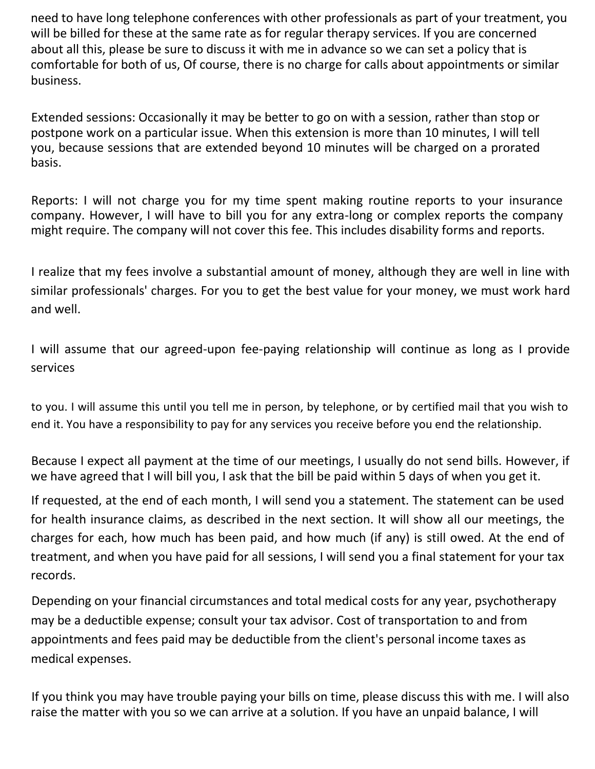need to have long telephone conferences with other professionals as part of your treatment, you will be billed for these at the same rate as for regular therapy services. If you are concerned about all this, please be sure to discuss it with me in advance so we can set a policy that is comfortable for both of us, Of course, there is no charge for calls about appointments or similar business.

Extended sessions: Occasionally it may be better to go on with a session, rather than stop or postpone work on a particular issue. When this extension is more than 10 minutes, I will tell you, because sessions that are extended beyond 10 minutes will be charged on a prorated basis.

Reports: I will not charge you for my time spent making routine reports to your insurance company. However, I will have to bill you for any extra-long or complex reports the company might require. The company will not cover this fee. This includes disability forms and reports.

I realize that my fees involve a substantial amount of money, although they are well in line with similar professionals' charges. For you to get the best value for your money, we must work hard and well.

I will assume that our agreed-upon fee-paying relationship will continue as long as I provide services

to you. I will assume this until you tell me in person, by telephone, or by certified mail that you wish to end it. You have a responsibility to pay for any services you receive before you end the relationship.

Because I expect all payment at the time of our meetings, I usually do not send bills. However, if we have agreed that I will bill you, I ask that the bill be paid within 5 days of when you get it.

If requested, at the end of each month, I will send you a statement. The statement can be used for health insurance claims, as described in the next section. It will show all our meetings, the charges for each, how much has been paid, and how much (if any) is still owed. At the end of treatment, and when you have paid for all sessions, I will send you a final statement for your tax records.

Depending on your financial circumstances and total medical costs for any year, psychotherapy may be a deductible expense; consult your tax advisor. Cost of transportation to and from appointments and fees paid may be deductible from the client's personal income taxes as medical expenses.

If you think you may have trouble paying your bills on time, please discuss this with me. I will also raise the matter with you so we can arrive at a solution. If you have an unpaid balance, I will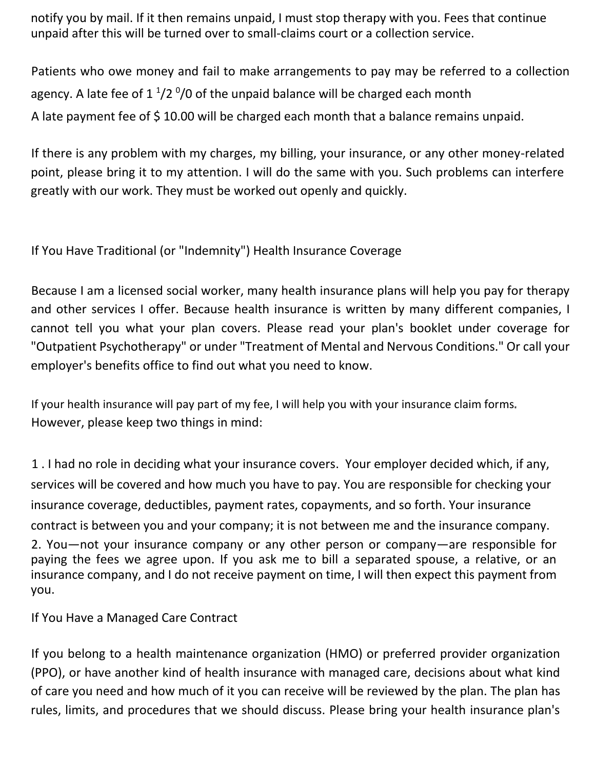notify you by mail. If it then remains unpaid, I must stop therapy with you. Fees that continue unpaid after this will be turned over to small-claims court or a collection service.

Patients who owe money and fail to make arrangements to pay may be referred to a collection agency. A late fee of  $1\sqrt[1]{2}$  % of the unpaid balance will be charged each month A late payment fee of \$10.00 will be charged each month that a balance remains unpaid.

If there is any problem with my charges, my billing, your insurance, or any other money-related point, please bring it to my attention. I will do the same with you. Such problems can interfere greatly with our work. They must be worked out openly and quickly.

If You Have Traditional (or "Indemnity") Health Insurance Coverage

Because I am a licensed social worker, many health insurance plans will help you pay for therapy and other services I offer. Because health insurance is written by many different companies, I cannot tell you what your plan covers. Please read your plan's booklet under coverage for "Outpatient Psychotherapy" or under "Treatment of Mental and Nervous Conditions." Or call your employer's benefits office to find out what you need to know.

If your health insurance will pay part of my fee, I will help you with your insurance claim forms However, please keep two things in mind:

1 . I had no role in deciding what your insurance covers. Your employer decided which, if any, services will be covered and how much you have to pay. You are responsible for checking your insurance coverage, deductibles, payment rates, copayments, and so forth. Your insurance contract is between you and your company; it is not between me and the insurance company. 2. You—not your insurance company or any other person or company—are responsible for paying the fees we agree upon. If you ask me to bill a separated spouse, a relative, or an insurance company, and I do not receive payment on time, I will then expect this payment from you.

If You Have a Managed Care Contract

If you belong to a health maintenance organization (HMO) or preferred provider organization (PPO), or have another kind of health insurance with managed care, decisions about what kind of care you need and how much of it you can receive will be reviewed by the plan. The plan has rules, limits, and procedures that we should discuss. Please bring your health insurance plan's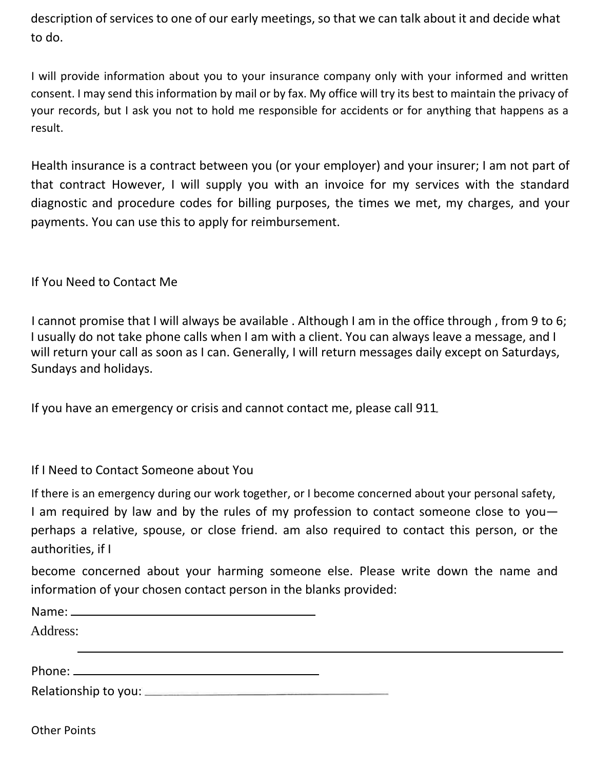description of services to one of our early meetings, so that we can talk about it and decide what to do.

I will provide information about you to your insurance company only with your informed and written consent. I may send this information by mail or by fax. My office will try its best to maintain the privacy of your records, but I ask you not to hold me responsible for accidents or for anything that happens as a result.

Health insurance is a contract between you (or your employer) and your insurer; I am not part of that contract However, I will supply you with an invoice for my services with the standard diagnostic and procedure codes for billing purposes, the times we met, my charges, and your payments. You can use this to apply for reimbursement.

If You Need to Contact Me

I cannot promise that I will always be available . Although I am in the office through , from 9 to 6; I usually do not take phone calls when I am with a client. You can always leave a message, and I will return your call as soon as I can. Generally, I will return messages daily except on Saturdays, Sundays and holidays.

If you have an emergency or crisis and cannot contact me, please call 911

## If I Need to Contact Someone about You

If there is an emergency during our work together, or I become concerned about your personal safety, I am required by law and by the rules of my profession to contact someone close to you perhaps a relative, spouse, or close friend. am also required to contact this person, or the authorities, if I

become concerned about your harming someone else. Please write down the name and information of your chosen contact person in the blanks provided:

| Address: |  |
|----------|--|
|          |  |
|          |  |
|          |  |

Other Points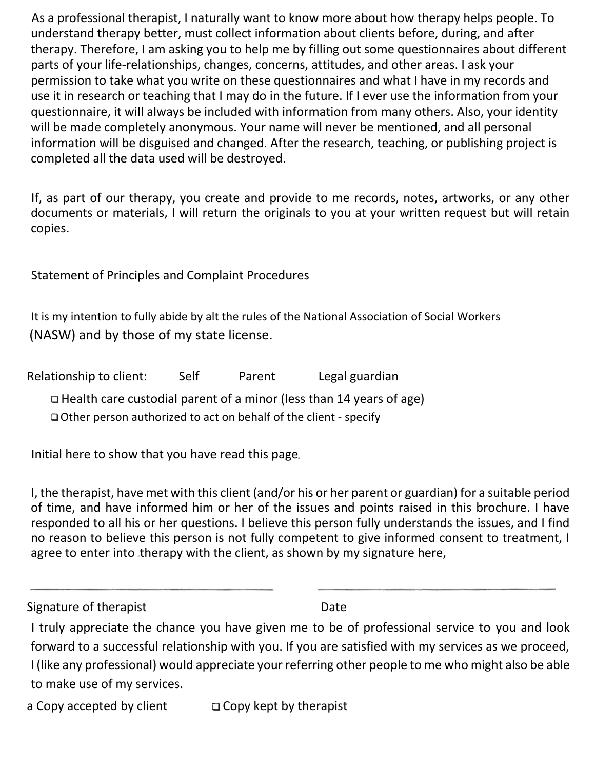As a professional therapist, I naturally want to know more about how therapy helps people. To understand therapy better, must collect information about clients before, during, and after therapy. Therefore, I am asking you to help me by filling out some questionnaires about different parts of your life-relationships, changes, concerns, attitudes, and other areas. I ask your permission to take what you write on these questionnaires and what I have in my records and use it in research or teaching that I may do in the future. If I ever use the information from your questionnaire, it will always be included with information from many others. Also, your identity will be made completely anonymous. Your name will never be mentioned, and all personal information will be disguised and changed. After the research, teaching, or publishing project is completed all the data used will be destroyed.

If, as part of our therapy, you create and provide to me records, notes, artworks, or any other documents or materials, I will return the originals to you at your written request but will retain copies.

Statement of Principles and Complaint Procedures

It is my intention to fully abide by alt the rules of the National Association of Social Workers (NASW) and by those of my state license.

Relationship to client: Self Parent Legal guardian

Health care custodial parent of a minor (less than 14 years of age) Other person authorized to act on behalf of the client - specify

Initial here to show that you have read this page

l, the therapist, have met with this client (and/or his or her parent or guardian) for a suitable period of time, and have informed him or her of the issues and points raised in this brochure. I have responded to all his or her questions. I believe this person fully understands the issues, and I find no reason to believe this person is not fully competent to give informed consent to treatment, I agree to enter into therapy with the client, as shown by my signature here,

Signature of therapist **Date** 

I truly appreciate the chance you have given me to be of professional service to you and look forward to a successful relationship with you. If you are satisfied with my services as we proceed, I (like any professional) would appreciate your referring other people to me who might also be able to make use of my services.

a Copy accepted by client  $\Box$  Copy kept by therapist